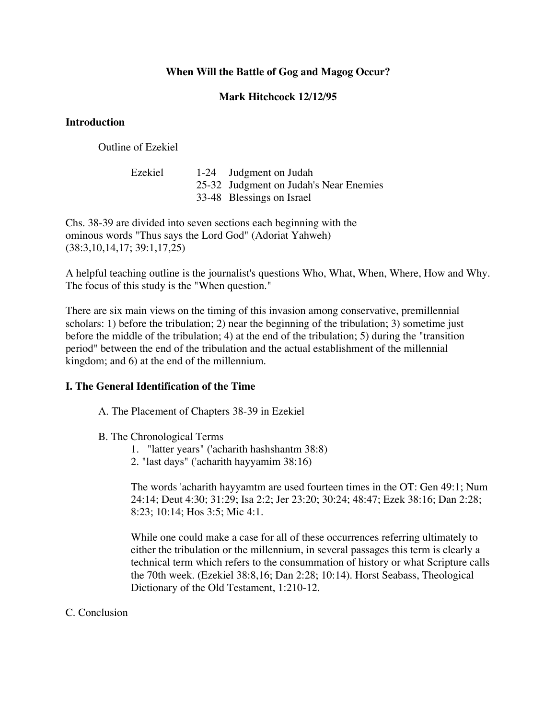# **When Will the Battle of Gog and Magog Occur?**

## **Mark Hitchcock 12/12/95**

### **Introduction**

Outline of Ezekiel

| Ezekiel | 1-24 Judgment on Judah                 |
|---------|----------------------------------------|
|         | 25-32 Judgment on Judah's Near Enemies |
|         | 33-48 Blessings on Israel              |

Chs. 38-39 are divided into seven sections each beginning with the ominous words "Thus says the Lord God" (Adoriat Yahweh) (38:3,10,14,17; 39:1,17,25)

A helpful teaching outline is the journalist's questions Who, What, When, Where, How and Why. The focus of this study is the "When question."

There are six main views on the timing of this invasion among conservative, premillennial scholars: 1) before the tribulation; 2) near the beginning of the tribulation; 3) sometime just before the middle of the tribulation; 4) at the end of the tribulation; 5) during the "transition period" between the end of the tribulation and the actual establishment of the millennial kingdom; and 6) at the end of the millennium.

### **I. The General Identification of the Time**

A. The Placement of Chapters 38-39 in Ezekiel

### B. The Chronological Terms

- 1. "latter years" ('acharith hashshantm 38:8)
- 2. "last days" ('acharith hayyamim 38:16)

The words 'acharith hayyamtm are used fourteen times in the OT: Gen 49:1; Num 24:14; Deut 4:30; 31:29; Isa 2:2; Jer 23:20; 30:24; 48:47; Ezek 38:16; Dan 2:28; 8:23; 10:14; Hos 3:5; Mic 4:1.

While one could make a case for all of these occurrences referring ultimately to either the tribulation or the millennium, in several passages this term is clearly a technical term which refers to the consummation of history or what Scripture calls the 70th week. (Ezekiel 38:8,16; Dan 2:28; 10:14). Horst Seabass, Theological Dictionary of the Old Testament, 1:210-12.

### C. Conclusion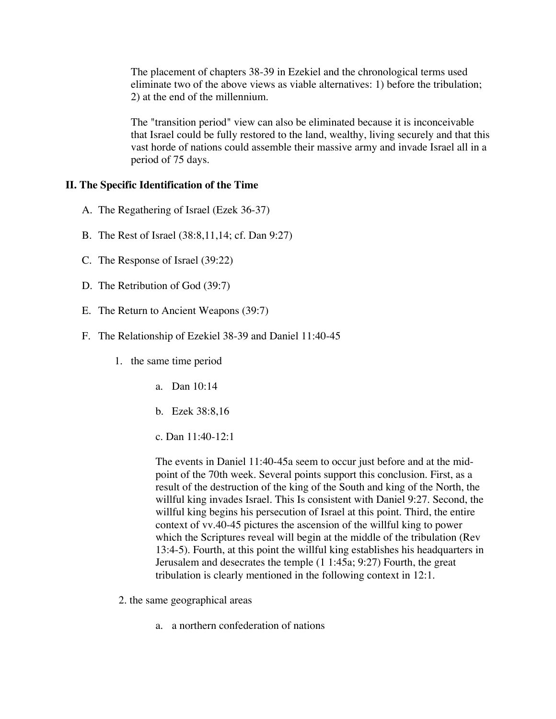The placement of chapters 38-39 in Ezekiel and the chronological terms used eliminate two of the above views as viable alternatives: 1) before the tribulation; 2) at the end of the millennium.

The "transition period" view can also be eliminated because it is inconceivable that Israel could be fully restored to the land, wealthy, living securely and that this vast horde of nations could assemble their massive army and invade Israel all in a period of 75 days.

#### **II. The Specific Identification of the Time**

- A. The Regathering of Israel (Ezek 36-37)
- B. The Rest of Israel (38:8,11,14; cf. Dan 9:27)
- C. The Response of Israel (39:22)
- D. The Retribution of God (39:7)
- E. The Return to Ancient Weapons (39:7)
- F. The Relationship of Ezekiel 38-39 and Daniel 11:40-45
	- 1. the same time period
		- a. Dan 10:14
		- b. Ezek 38:8,16
		- c. Dan 11:40-12:1

The events in Daniel 11:40-45a seem to occur just before and at the midpoint of the 70th week. Several points support this conclusion. First, as a result of the destruction of the king of the South and king of the North, the willful king invades Israel. This Is consistent with Daniel 9:27. Second, the willful king begins his persecution of Israel at this point. Third, the entire context of vv.40-45 pictures the ascension of the willful king to power which the Scriptures reveal will begin at the middle of the tribulation (Rev 13:4-5). Fourth, at this point the willful king establishes his headquarters in Jerusalem and desecrates the temple (1 1:45a; 9:27) Fourth, the great tribulation is clearly mentioned in the following context in 12:1.

- 2. the same geographical areas
	- a. a northern confederation of nations